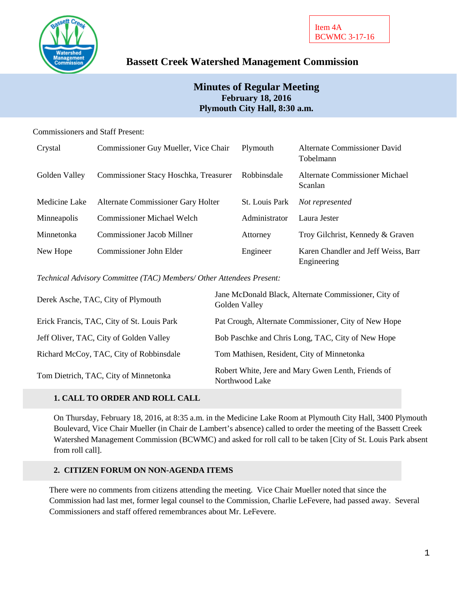

# **Bassett Creek Watershed Management Commission**

## **Minutes of Regular Meeting February 18, 2016 Plymouth City Hall, 8:30 a.m.**

### Commissioners and Staff Present:

| Crystal       | Commissioner Guy Mueller, Vice Chair  | Plymouth       | Alternate Commissioner David<br>Tobelmann          |
|---------------|---------------------------------------|----------------|----------------------------------------------------|
| Golden Valley | Commissioner Stacy Hoschka, Treasurer | Robbinsdale    | Alternate Commissioner Michael<br><b>Scanlan</b>   |
| Medicine Lake | Alternate Commissioner Gary Holter    | St. Louis Park | Not represented                                    |
| Minneapolis   | <b>Commissioner Michael Welch</b>     | Administrator  | Laura Jester                                       |
| Minnetonka    | <b>Commissioner Jacob Millner</b>     | Attorney       | Troy Gilchrist, Kennedy & Graven                   |
| New Hope      | Commissioner John Elder               | Engineer       | Karen Chandler and Jeff Weiss, Barr<br>Engineering |

*Technical Advisory Committee (TAC) Members/ Other Attendees Present:*

| Derek Asche, TAC, City of Plymouth         | Jane McDonald Black, Alternate Commissioner, City of<br>Golden Valley |
|--------------------------------------------|-----------------------------------------------------------------------|
| Erick Francis, TAC, City of St. Louis Park | Pat Crough, Alternate Commissioner, City of New Hope                  |
| Jeff Oliver, TAC, City of Golden Valley    | Bob Paschke and Chris Long, TAC, City of New Hope                     |
| Richard McCoy, TAC, City of Robbinsdale    | Tom Mathisen, Resident, City of Minnetonka                            |
| Tom Dietrich, TAC, City of Minnetonka      | Robert White, Jere and Mary Gwen Lenth, Friends of<br>Northwood Lake  |

## **1. CALL TO ORDER AND ROLL CALL**

On Thursday, February 18, 2016, at 8:35 a.m. in the Medicine Lake Room at Plymouth City Hall, 3400 Plymouth Boulevard, Vice Chair Mueller (in Chair de Lambert's absence) called to order the meeting of the Bassett Creek Watershed Management Commission (BCWMC) and asked for roll call to be taken [City of St. Louis Park absent from roll call].

## **2. CITIZEN FORUM ON NON-AGENDA ITEMS**

There were no comments from citizens attending the meeting. Vice Chair Mueller noted that since the Commission had last met, former legal counsel to the Commission, Charlie LeFevere, had passed away. Several Commissioners and staff offered remembrances about Mr. LeFevere.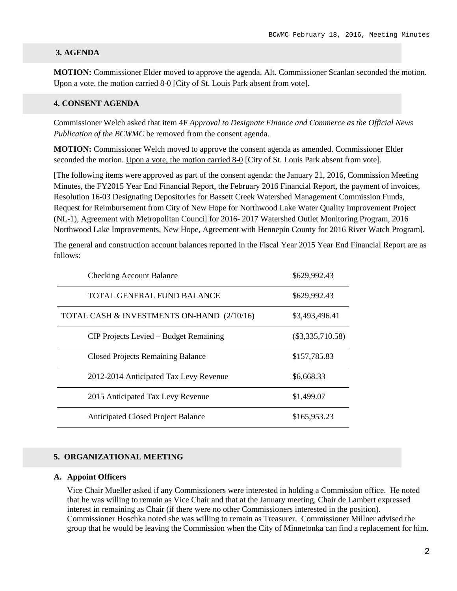#### **3. AGENDA**

**MOTION:** Commissioner Elder moved to approve the agenda. Alt. Commissioner Scanlan seconded the motion. Upon a vote, the motion carried 8-0 [City of St. Louis Park absent from vote].

#### **4. CONSENT AGENDA**

Commissioner Welch asked that item 4F *Approval to Designate Finance and Commerce as the Official News Publication of the BCWMC* be removed from the consent agenda.

**MOTION:** Commissioner Welch moved to approve the consent agenda as amended. Commissioner Elder seconded the motion. Upon a vote, the motion carried 8-0 [City of St. Louis Park absent from vote].

[The following items were approved as part of the consent agenda: the January 21, 2016, Commission Meeting Minutes, the FY2015 Year End Financial Report, the February 2016 Financial Report, the payment of invoices, Resolution 16-03 Designating Depositories for Bassett Creek Watershed Management Commission Funds, Request for Reimbursement from City of New Hope for Northwood Lake Water Quality Improvement Project (NL-1), Agreement with Metropolitan Council for 2016- 2017 Watershed Outlet Monitoring Program, 2016 Northwood Lake Improvements, New Hope, Agreement with Hennepin County for 2016 River Watch Program].

The general and construction account balances reported in the Fiscal Year 2015 Year End Financial Report are as follows:

| <b>Checking Account Balance</b>            | \$629,992.43       |
|--------------------------------------------|--------------------|
| TOTAL GENERAL FUND BALANCE                 | \$629,992.43       |
| TOTAL CASH & INVESTMENTS ON-HAND (2/10/16) | \$3,493,496.41     |
| CIP Projects Levied – Budget Remaining     | $(\$3,335,710.58)$ |
| <b>Closed Projects Remaining Balance</b>   | \$157,785.83       |
| 2012-2014 Anticipated Tax Levy Revenue     | \$6,668.33         |
| 2015 Anticipated Tax Levy Revenue          | \$1,499.07         |
| <b>Anticipated Closed Project Balance</b>  | \$165,953.23       |

#### **5. ORGANIZATIONAL MEETING**

#### **A. Appoint Officers**

Vice Chair Mueller asked if any Commissioners were interested in holding a Commission office. He noted that he was willing to remain as Vice Chair and that at the January meeting, Chair de Lambert expressed interest in remaining as Chair (if there were no other Commissioners interested in the position). Commissioner Hoschka noted she was willing to remain as Treasurer. Commissioner Millner advised the group that he would be leaving the Commission when the City of Minnetonka can find a replacement for him.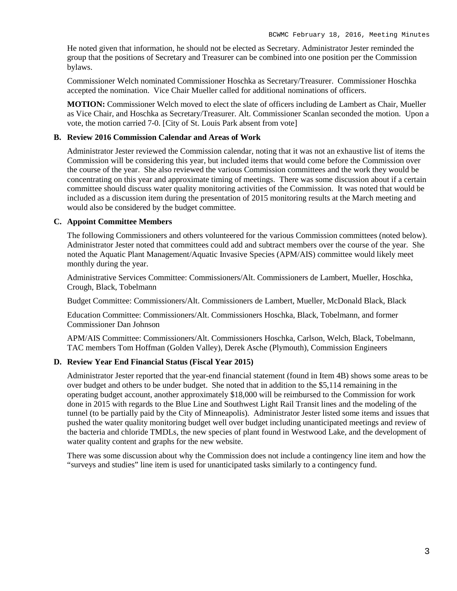He noted given that information, he should not be elected as Secretary. Administrator Jester reminded the group that the positions of Secretary and Treasurer can be combined into one position per the Commission bylaws.

Commissioner Welch nominated Commissioner Hoschka as Secretary/Treasurer. Commissioner Hoschka accepted the nomination. Vice Chair Mueller called for additional nominations of officers.

**MOTION:** Commissioner Welch moved to elect the slate of officers including de Lambert as Chair, Mueller as Vice Chair, and Hoschka as Secretary/Treasurer. Alt. Commissioner Scanlan seconded the motion. Upon a vote, the motion carried 7-0. [City of St. Louis Park absent from vote]

#### **B. Review 2016 Commission Calendar and Areas of Work**

Administrator Jester reviewed the Commission calendar, noting that it was not an exhaustive list of items the Commission will be considering this year, but included items that would come before the Commission over the course of the year. She also reviewed the various Commission committees and the work they would be concentrating on this year and approximate timing of meetings. There was some discussion about if a certain committee should discuss water quality monitoring activities of the Commission. It was noted that would be included as a discussion item during the presentation of 2015 monitoring results at the March meeting and would also be considered by the budget committee.

#### **C. Appoint Committee Members**

The following Commissioners and others volunteered for the various Commission committees (noted below). Administrator Jester noted that committees could add and subtract members over the course of the year. She noted the Aquatic Plant Management/Aquatic Invasive Species (APM/AIS) committee would likely meet monthly during the year.

Administrative Services Committee: Commissioners/Alt. Commissioners de Lambert, Mueller, Hoschka, Crough, Black, Tobelmann

Budget Committee: Commissioners/Alt. Commissioners de Lambert, Mueller, McDonald Black, Black

Education Committee: Commissioners/Alt. Commissioners Hoschka, Black, Tobelmann, and former Commissioner Dan Johnson

APM/AIS Committee: Commissioners/Alt. Commissioners Hoschka, Carlson, Welch, Black, Tobelmann, TAC members Tom Hoffman (Golden Valley), Derek Asche (Plymouth), Commission Engineers

#### **D. Review Year End Financial Status (Fiscal Year 2015)**

Administrator Jester reported that the year-end financial statement (found in Item 4B) shows some areas to be over budget and others to be under budget. She noted that in addition to the \$5,114 remaining in the operating budget account, another approximately \$18,000 will be reimbursed to the Commission for work done in 2015 with regards to the Blue Line and Southwest Light Rail Transit lines and the modeling of the tunnel (to be partially paid by the City of Minneapolis). Administrator Jester listed some items and issues that pushed the water quality monitoring budget well over budget including unanticipated meetings and review of the bacteria and chloride TMDLs, the new species of plant found in Westwood Lake, and the development of water quality content and graphs for the new website.

There was some discussion about why the Commission does not include a contingency line item and how the "surveys and studies" line item is used for unanticipated tasks similarly to a contingency fund.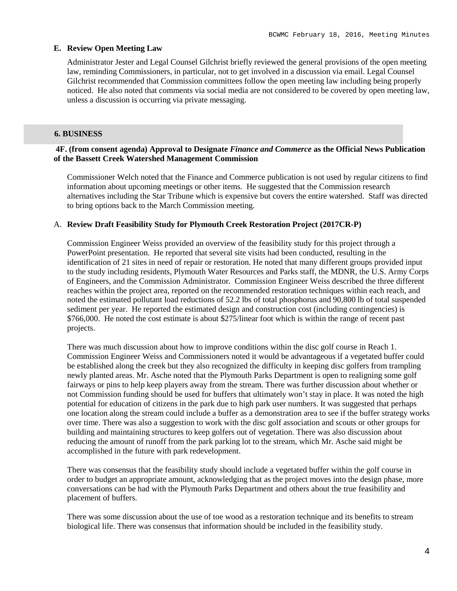#### **E. Review Open Meeting Law**

Administrator Jester and Legal Counsel Gilchrist briefly reviewed the general provisions of the open meeting law, reminding Commissioners, in particular, not to get involved in a discussion via email. Legal Counsel Gilchrist recommended that Commission committees follow the open meeting law including being properly noticed. He also noted that comments via social media are not considered to be covered by open meeting law, unless a discussion is occurring via private messaging.

#### **6. BUSINESS**

#### **4F. (from consent agenda) Approval to Designate** *Finance and Commerce* **as the Official News Publication of the Bassett Creek Watershed Management Commission**

Commissioner Welch noted that the Finance and Commerce publication is not used by regular citizens to find information about upcoming meetings or other items. He suggested that the Commission research alternatives including the Star Tribune which is expensive but covers the entire watershed. Staff was directed to bring options back to the March Commission meeting.

#### A. **Review Draft Feasibility Study for Plymouth Creek Restoration Project (2017CR-P)**

Commission Engineer Weiss provided an overview of the feasibility study for this project through a PowerPoint presentation. He reported that several site visits had been conducted, resulting in the identification of 21 sites in need of repair or restoration. He noted that many different groups provided input to the study including residents, Plymouth Water Resources and Parks staff, the MDNR, the U.S. Army Corps of Engineers, and the Commission Administrator. Commission Engineer Weiss described the three different reaches within the project area, reported on the recommended restoration techniques within each reach, and noted the estimated pollutant load reductions of 52.2 lbs of total phosphorus and 90,800 lb of total suspended sediment per year. He reported the estimated design and construction cost (including contingencies) is \$766,000. He noted the cost estimate is about \$275/linear foot which is within the range of recent past projects.

There was much discussion about how to improve conditions within the disc golf course in Reach 1. Commission Engineer Weiss and Commissioners noted it would be advantageous if a vegetated buffer could be established along the creek but they also recognized the difficulty in keeping disc golfers from trampling newly planted areas. Mr. Asche noted that the Plymouth Parks Department is open to realigning some golf fairways or pins to help keep players away from the stream. There was further discussion about whether or not Commission funding should be used for buffers that ultimately won't stay in place. It was noted the high potential for education of citizens in the park due to high park user numbers. It was suggested that perhaps one location along the stream could include a buffer as a demonstration area to see if the buffer strategy works over time. There was also a suggestion to work with the disc golf association and scouts or other groups for building and maintaining structures to keep golfers out of vegetation. There was also discussion about reducing the amount of runoff from the park parking lot to the stream, which Mr. Asche said might be accomplished in the future with park redevelopment.

There was consensus that the feasibility study should include a vegetated buffer within the golf course in order to budget an appropriate amount, acknowledging that as the project moves into the design phase, more conversations can be had with the Plymouth Parks Department and others about the true feasibility and placement of buffers.

There was some discussion about the use of toe wood as a restoration technique and its benefits to stream biological life. There was consensus that information should be included in the feasibility study.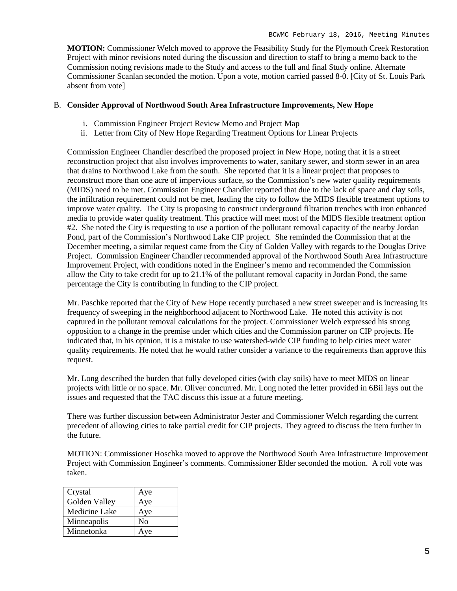**MOTION:** Commissioner Welch moved to approve the Feasibility Study for the Plymouth Creek Restoration Project with minor revisions noted during the discussion and direction to staff to bring a memo back to the Commission noting revisions made to the Study and access to the full and final Study online. Alternate Commissioner Scanlan seconded the motion. Upon a vote, motion carried passed 8-0. [City of St. Louis Park absent from vote]

#### B. **Consider Approval of Northwood South Area Infrastructure Improvements, New Hope**

- i. Commission Engineer Project Review Memo and Project Map
- ii. Letter from City of New Hope Regarding Treatment Options for Linear Projects

Commission Engineer Chandler described the proposed project in New Hope, noting that it is a street reconstruction project that also involves improvements to water, sanitary sewer, and storm sewer in an area that drains to Northwood Lake from the south. She reported that it is a linear project that proposes to reconstruct more than one acre of impervious surface, so the Commission's new water quality requirements (MIDS) need to be met. Commission Engineer Chandler reported that due to the lack of space and clay soils, the infiltration requirement could not be met, leading the city to follow the MIDS flexible treatment options to improve water quality. The City is proposing to construct underground filtration trenches with iron enhanced media to provide water quality treatment. This practice will meet most of the MIDS flexible treatment option #2. She noted the City is requesting to use a portion of the pollutant removal capacity of the nearby Jordan Pond, part of the Commission's Northwood Lake CIP project. She reminded the Commission that at the December meeting, a similar request came from the City of Golden Valley with regards to the Douglas Drive Project. Commission Engineer Chandler recommended approval of the Northwood South Area Infrastructure Improvement Project, with conditions noted in the Engineer's memo and recommended the Commission allow the City to take credit for up to 21.1% of the pollutant removal capacity in Jordan Pond, the same percentage the City is contributing in funding to the CIP project.

Mr. Paschke reported that the City of New Hope recently purchased a new street sweeper and is increasing its frequency of sweeping in the neighborhood adjacent to Northwood Lake. He noted this activity is not captured in the pollutant removal calculations for the project. Commissioner Welch expressed his strong opposition to a change in the premise under which cities and the Commission partner on CIP projects. He indicated that, in his opinion, it is a mistake to use watershed-wide CIP funding to help cities meet water quality requirements. He noted that he would rather consider a variance to the requirements than approve this request.

Mr. Long described the burden that fully developed cities (with clay soils) have to meet MIDS on linear projects with little or no space. Mr. Oliver concurred. Mr. Long noted the letter provided in 6Bii lays out the issues and requested that the TAC discuss this issue at a future meeting.

There was further discussion between Administrator Jester and Commissioner Welch regarding the current precedent of allowing cities to take partial credit for CIP projects. They agreed to discuss the item further in the future.

MOTION: Commissioner Hoschka moved to approve the Northwood South Area Infrastructure Improvement Project with Commission Engineer's comments. Commissioner Elder seconded the motion. A roll vote was taken.

| Crystal       | Aye            |
|---------------|----------------|
| Golden Valley | Aye            |
| Medicine Lake | Aye            |
| Minneapolis   | N <sub>0</sub> |
| Minnetonka    | Aye            |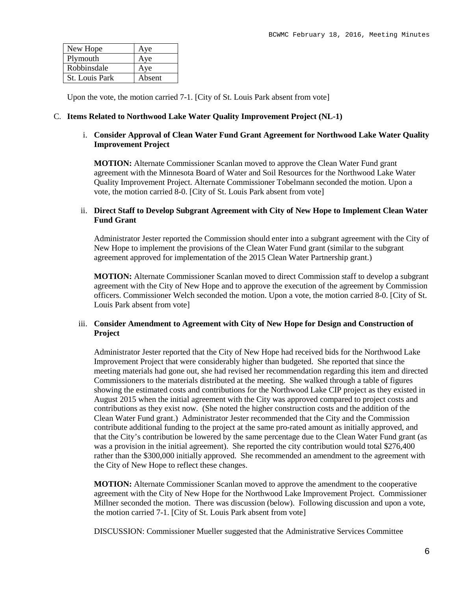| New Hope       | Aye    |
|----------------|--------|
| Plymouth       | Aye    |
| Robbinsdale    | Aye    |
| St. Louis Park | Absent |

Upon the vote, the motion carried 7-1. [City of St. Louis Park absent from vote]

#### C. **Items Related to Northwood Lake Water Quality Improvement Project (NL-1)**

#### i. **Consider Approval of Clean Water Fund Grant Agreement for Northwood Lake Water Quality Improvement Project**

**MOTION:** Alternate Commissioner Scanlan moved to approve the Clean Water Fund grant agreement with the Minnesota Board of Water and Soil Resources for the Northwood Lake Water Quality Improvement Project. Alternate Commissioner Tobelmann seconded the motion. Upon a vote, the motion carried 8-0. [City of St. Louis Park absent from vote]

#### ii. **Direct Staff to Develop Subgrant Agreement with City of New Hope to Implement Clean Water Fund Grant**

Administrator Jester reported the Commission should enter into a subgrant agreement with the City of New Hope to implement the provisions of the Clean Water Fund grant (similar to the subgrant agreement approved for implementation of the 2015 Clean Water Partnership grant.)

**MOTION:** Alternate Commissioner Scanlan moved to direct Commission staff to develop a subgrant agreement with the City of New Hope and to approve the execution of the agreement by Commission officers. Commissioner Welch seconded the motion. Upon a vote, the motion carried 8-0. [City of St. Louis Park absent from vote]

#### iii. **Consider Amendment to Agreement with City of New Hope for Design and Construction of Project**

Administrator Jester reported that the City of New Hope had received bids for the Northwood Lake Improvement Project that were considerably higher than budgeted. She reported that since the meeting materials had gone out, she had revised her recommendation regarding this item and directed Commissioners to the materials distributed at the meeting. She walked through a table of figures showing the estimated costs and contributions for the Northwood Lake CIP project as they existed in August 2015 when the initial agreement with the City was approved compared to project costs and contributions as they exist now. (She noted the higher construction costs and the addition of the Clean Water Fund grant.) Administrator Jester recommended that the City and the Commission contribute additional funding to the project at the same pro-rated amount as initially approved, and that the City's contribution be lowered by the same percentage due to the Clean Water Fund grant (as was a provision in the initial agreement). She reported the city contribution would total \$276,400 rather than the \$300,000 initially approved. She recommended an amendment to the agreement with the City of New Hope to reflect these changes.

**MOTION:** Alternate Commissioner Scanlan moved to approve the amendment to the cooperative agreement with the City of New Hope for the Northwood Lake Improvement Project. Commissioner Millner seconded the motion. There was discussion (below). Following discussion and upon a vote, the motion carried 7-1. [City of St. Louis Park absent from vote]

DISCUSSION: Commissioner Mueller suggested that the Administrative Services Committee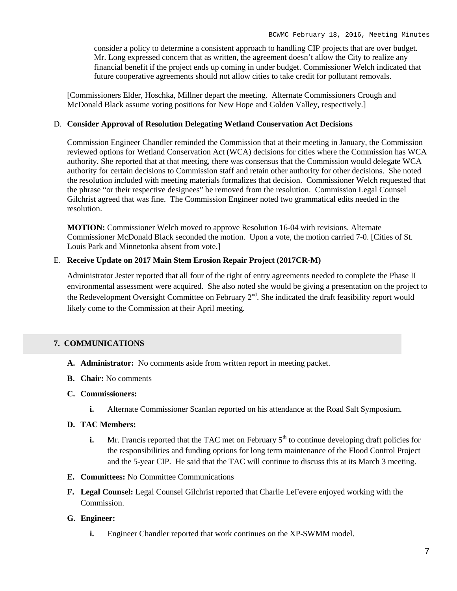consider a policy to determine a consistent approach to handling CIP projects that are over budget. Mr. Long expressed concern that as written, the agreement doesn't allow the City to realize any financial benefit if the project ends up coming in under budget. Commissioner Welch indicated that future cooperative agreements should not allow cities to take credit for pollutant removals.

[Commissioners Elder, Hoschka, Millner depart the meeting. Alternate Commissioners Crough and McDonald Black assume voting positions for New Hope and Golden Valley, respectively.]

#### D. **Consider Approval of Resolution Delegating Wetland Conservation Act Decisions**

Commission Engineer Chandler reminded the Commission that at their meeting in January, the Commission reviewed options for Wetland Conservation Act (WCA) decisions for cities where the Commission has WCA authority. She reported that at that meeting, there was consensus that the Commission would delegate WCA authority for certain decisions to Commission staff and retain other authority for other decisions. She noted the resolution included with meeting materials formalizes that decision. Commissioner Welch requested that the phrase "or their respective designees" be removed from the resolution. Commission Legal Counsel Gilchrist agreed that was fine. The Commission Engineer noted two grammatical edits needed in the resolution.

**MOTION:** Commissioner Welch moved to approve Resolution 16-04 with revisions. Alternate Commissioner McDonald Black seconded the motion. Upon a vote, the motion carried 7-0. [Cities of St. Louis Park and Minnetonka absent from vote.]

### E. **Receive Update on 2017 Main Stem Erosion Repair Project (2017CR-M)**

Administrator Jester reported that all four of the right of entry agreements needed to complete the Phase II environmental assessment were acquired. She also noted she would be giving a presentation on the project to the Redevelopment Oversight Committee on February  $2<sup>nd</sup>$ . She indicated the draft feasibility report would likely come to the Commission at their April meeting.

## **7. COMMUNICATIONS**

- **A. Administrator:** No comments aside from written report in meeting packet.
- **B. Chair:** No comments
- **C. Commissioners:**
	- **i.** Alternate Commissioner Scanlan reported on his attendance at the Road Salt Symposium.

## **D. TAC Members:**

- **i.** Mr. Francis reported that the TAC met on February 5<sup>th</sup> to continue developing draft policies for the responsibilities and funding options for long term maintenance of the Flood Control Project and the 5-year CIP. He said that the TAC will continue to discuss this at its March 3 meeting.
- **E. Committees:** No Committee Communications
- **F. Legal Counsel:** Legal Counsel Gilchrist reported that Charlie LeFevere enjoyed working with the Commission.

## **G. Engineer:**

**i.** Engineer Chandler reported that work continues on the XP-SWMM model.